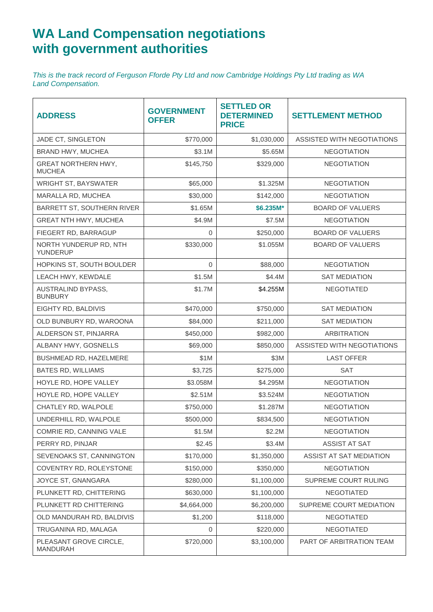## **WA Land Compensation negotiations with government authorities**

*This is the track record of Ferguson Fforde Pty Ltd and now Cambridge Holdings Pty Ltd trading as WA Land Compensation.*

| <b>ADDRESS</b>                              | <b>GOVERNMENT</b><br><b>OFFER</b> | <b>SETTLED OR</b><br><b>DETERMINED</b><br><b>PRICE</b> | <b>SETTLEMENT METHOD</b>   |
|---------------------------------------------|-----------------------------------|--------------------------------------------------------|----------------------------|
| JADE CT, SINGLETON                          | \$770,000                         | \$1,030,000                                            | ASSISTED WITH NEGOTIATIONS |
| BRAND HWY, MUCHEA                           | \$3.1M                            | \$5.65M                                                | <b>NEGOTIATION</b>         |
| <b>GREAT NORTHERN HWY,</b><br><b>MUCHEA</b> | \$145,750                         | \$329,000                                              | <b>NEGOTIATION</b>         |
| WRIGHT ST, BAYSWATER                        | \$65,000                          | \$1.325M                                               | <b>NEGOTIATION</b>         |
| MARALLA RD, MUCHEA                          | \$30,000                          | \$142,000                                              | <b>NEGOTIATION</b>         |
| BARRETT ST, SOUTHERN RIVER                  | \$1.65M                           | $$6.235M*$                                             | <b>BOARD OF VALUERS</b>    |
| GREAT NTH HWY, MUCHEA                       | \$4.9M                            | \$7.5M                                                 | <b>NEGOTIATION</b>         |
| FIEGERT RD, BARRAGUP                        | 0                                 | \$250,000                                              | <b>BOARD OF VALUERS</b>    |
| NORTH YUNDERUP RD, NTH<br>YUNDERUP          | \$330,000                         | \$1.055M                                               | <b>BOARD OF VALUERS</b>    |
| HOPKINS ST, SOUTH BOULDER                   | 0                                 | \$88,000                                               | <b>NEGOTIATION</b>         |
| LEACH HWY, KEWDALE                          | \$1.5M                            | \$4.4M                                                 | <b>SAT MEDIATION</b>       |
| AUSTRALIND BYPASS,<br><b>BUNBURY</b>        | \$1.7M                            | \$4.255M                                               | <b>NEGOTIATED</b>          |
| EIGHTY RD, BALDIVIS                         | \$470,000                         | \$750,000                                              | <b>SAT MEDIATION</b>       |
| OLD BUNBURY RD, WAROONA                     | \$84,000                          | \$211,000                                              | <b>SAT MEDIATION</b>       |
| ALDERSON ST, PINJARRA                       | \$450,000                         | \$982,000                                              | <b>ARBITRATION</b>         |
| ALBANY HWY, GOSNELLS                        | \$69,000                          | \$850,000                                              | ASSISTED WITH NEGOTIATIONS |
| BUSHMEAD RD, HAZELMERE                      | \$1M                              | \$3M                                                   | <b>LAST OFFER</b>          |
| <b>BATES RD, WILLIAMS</b>                   | \$3,725                           | \$275,000                                              | <b>SAT</b>                 |
| HOYLE RD, HOPE VALLEY                       | \$3.058M                          | \$4.295M                                               | <b>NEGOTIATION</b>         |
| HOYLE RD, HOPE VALLEY                       | \$2.51M                           | \$3.524M                                               | <b>NEGOTIATION</b>         |
| CHATLEY RD, WALPOLE                         | \$750,000                         | \$1.287M                                               | <b>NEGOTIATION</b>         |
| UNDERHILL RD, WALPOLE                       | \$500,000                         | \$834,500                                              | <b>NEGOTIATION</b>         |
| COMRIE RD, CANNING VALE                     | \$1.5M                            | \$2.2M                                                 | <b>NEGOTIATION</b>         |
| PERRY RD, PINJAR                            | \$2.45                            | \$3.4M                                                 | <b>ASSIST AT SAT</b>       |
| SEVENOAKS ST, CANNINGTON                    | \$170,000                         | \$1,350,000                                            | ASSIST AT SAT MEDIATION    |
| COVENTRY RD, ROLEYSTONE                     | \$150,000                         | \$350,000                                              | <b>NEGOTIATION</b>         |
| JOYCE ST, GNANGARA                          | \$280,000                         | \$1,100,000                                            | SUPREME COURT RULING       |
| PLUNKETT RD, CHITTERING                     | \$630,000                         | \$1,100,000                                            | <b>NEGOTIATED</b>          |
| PLUNKETT RD CHITTERING                      | \$4,664,000                       | \$6,200,000                                            | SUPREME COURT MEDIATION    |
| OLD MANDURAH RD, BALDIVIS                   | \$1,200                           | \$118,000                                              | <b>NEGOTIATED</b>          |
| TRUGANINA RD, MALAGA                        | $\mathbf 0$                       | \$220,000                                              | <b>NEGOTIATED</b>          |
| PLEASANT GROVE CIRCLE,<br>MANDURAH          | \$720,000                         | \$3,100,000                                            | PART OF ARBITRATION TEAM   |